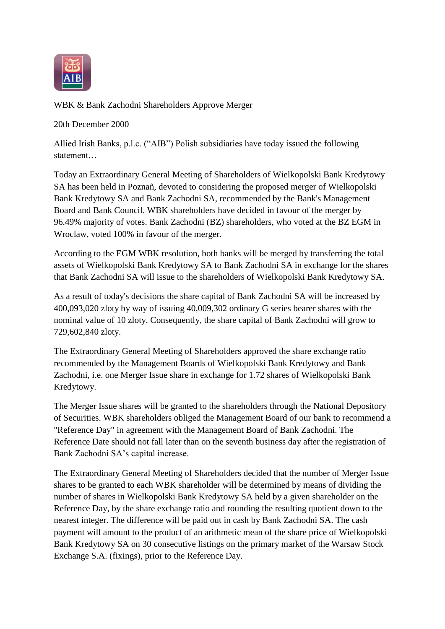

WBK & Bank Zachodni Shareholders Approve Merger

20th December 2000

Allied Irish Banks, p.l.c. ("AIB") Polish subsidiaries have today issued the following statement…

Today an Extraordinary General Meeting of Shareholders of Wielkopolski Bank Kredytowy SA has been held in Poznañ, devoted to considering the proposed merger of Wielkopolski Bank Kredytowy SA and Bank Zachodni SA, recommended by the Bank's Management Board and Bank Council. WBK shareholders have decided in favour of the merger by 96.49% majority of votes. Bank Zachodni (BZ) shareholders, who voted at the BZ EGM in Wroclaw, voted 100% in favour of the merger.

According to the EGM WBK resolution, both banks will be merged by transferring the total assets of Wielkopolski Bank Kredytowy SA to Bank Zachodni SA in exchange for the shares that Bank Zachodni SA will issue to the shareholders of Wielkopolski Bank Kredytowy SA.

As a result of today's decisions the share capital of Bank Zachodni SA will be increased by 400,093,020 zloty by way of issuing 40,009,302 ordinary G series bearer shares with the nominal value of 10 zloty. Consequently, the share capital of Bank Zachodni will grow to 729,602,840 zloty.

The Extraordinary General Meeting of Shareholders approved the share exchange ratio recommended by the Management Boards of Wielkopolski Bank Kredytowy and Bank Zachodni, i.e. one Merger Issue share in exchange for 1.72 shares of Wielkopolski Bank Kredytowy.

The Merger Issue shares will be granted to the shareholders through the National Depository of Securities. WBK shareholders obliged the Management Board of our bank to recommend a "Reference Day" in agreement with the Management Board of Bank Zachodni. The Reference Date should not fall later than on the seventh business day after the registration of Bank Zachodni SA's capital increase.

The Extraordinary General Meeting of Shareholders decided that the number of Merger Issue shares to be granted to each WBK shareholder will be determined by means of dividing the number of shares in Wielkopolski Bank Kredytowy SA held by a given shareholder on the Reference Day, by the share exchange ratio and rounding the resulting quotient down to the nearest integer. The difference will be paid out in cash by Bank Zachodni SA. The cash payment will amount to the product of an arithmetic mean of the share price of Wielkopolski Bank Kredytowy SA on 30 consecutive listings on the primary market of the Warsaw Stock Exchange S.A. (fixings), prior to the Reference Day.